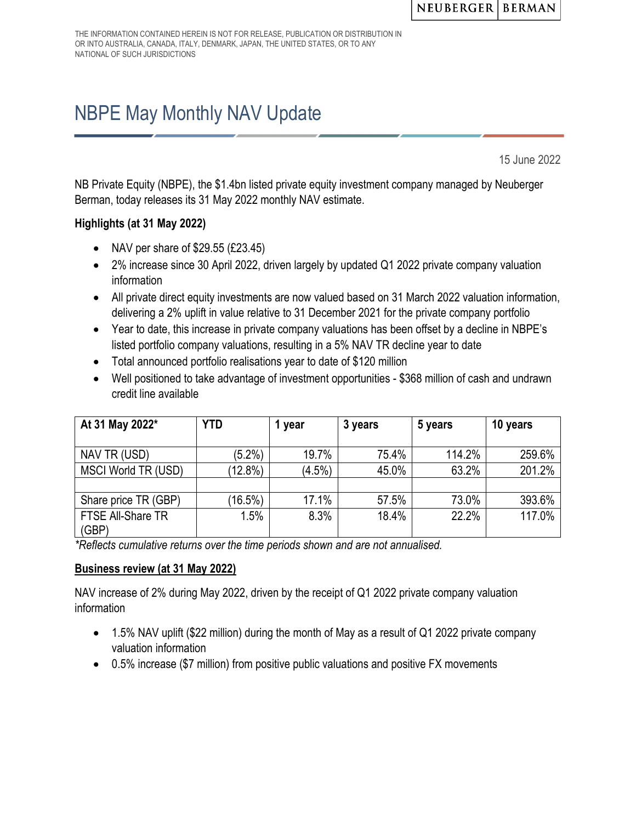THE INFORMATION CONTAINED HEREIN IS NOT FOR RELEASE, PUBLICATION OR DISTRIBUTION IN OR INTO AUSTRALIA, CANADA, ITALY, DENMARK, JAPAN, THE UNITED STATES, OR TO ANY NATIONAL OF SUCH JURISDICTIONS

# NBPE May Monthly NAV Update

15 June 2022

NB Private Equity (NBPE), the \$1.4bn listed private equity investment company managed by Neuberger Berman, today releases its 31 May 2022 monthly NAV estimate.

## **Highlights (at 31 May 2022)**

- NAV per share of \$29.55 (£23.45)
- 2% increase since 30 April 2022, driven largely by updated Q1 2022 private company valuation information
- All private direct equity investments are now valued based on 31 March 2022 valuation information, delivering a 2% uplift in value relative to 31 December 2021 for the private company portfolio
- Year to date, this increase in private company valuations has been offset by a decline in NBPE's listed portfolio company valuations, resulting in a 5% NAV TR decline year to date
- Total announced portfolio realisations year to date of \$120 million
- Well positioned to take advantage of investment opportunities \$368 million of cash and undrawn credit line available

| At 31 May 2022*            | <b>YTD</b> | 1 year    | 3 years | 5 years | 10 years |
|----------------------------|------------|-----------|---------|---------|----------|
|                            |            |           |         |         |          |
| NAV TR (USD)               | $(5.2\%)$  | 19.7%     | 75.4%   | 114.2%  | 259.6%   |
| MSCI World TR (USD)        | $(12.8\%)$ | $(4.5\%)$ | 45.0%   | 63.2%   | 201.2%   |
|                            |            |           |         |         |          |
| Share price TR (GBP)       | $(16.5\%)$ | 17.1%     | 57.5%   | 73.0%   | 393.6%   |
| FTSE All-Share TR<br>(GBP) | 1.5%       | 8.3%      | 18.4%   | 22.2%   | 117.0%   |

*\*Reflects cumulative returns over the time periods shown and are not annualised.* 

### **Business review (at 31 May 2022)**

NAV increase of 2% during May 2022, driven by the receipt of Q1 2022 private company valuation information

- 1.5% NAV uplift (\$22 million) during the month of May as a result of Q1 2022 private company valuation information
- 0.5% increase (\$7 million) from positive public valuations and positive FX movements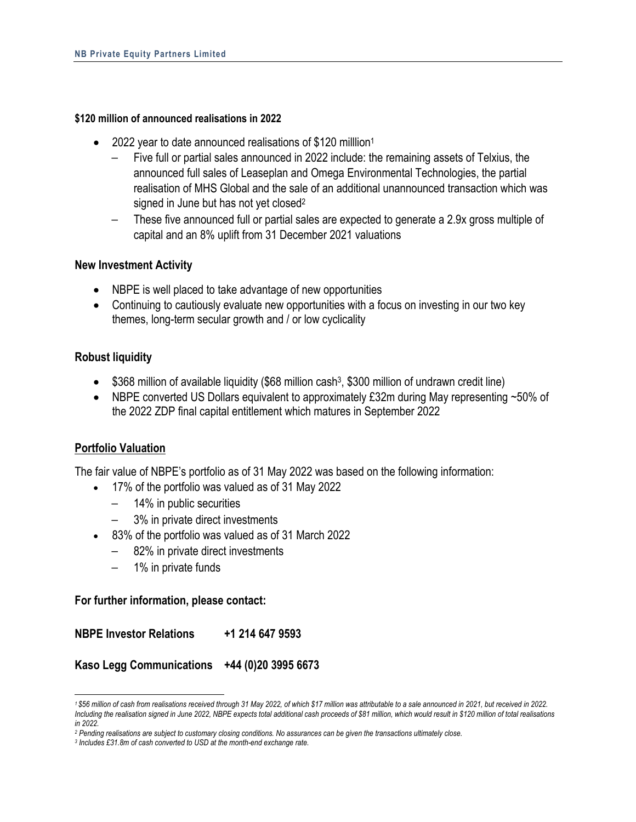#### **\$120 million of announced realisations in 2022**

- 2022 year to date announced realisations of \$120 milllion<sup>1</sup>
	- Five full or partial sales announced in 2022 include: the remaining assets of Telxius, the announced full sales of Leaseplan and Omega Environmental Technologies, the partial realisation of MHS Global and the sale of an additional unannounced transaction which was signed in June but has not yet closed<sup>2</sup>
	- These five announced full or partial sales are expected to generate a 2.9x gross multiple of capital and an 8% uplift from 31 December 2021 valuations

#### **New Investment Activity**

- NBPE is well placed to take advantage of new opportunities
- Continuing to cautiously evaluate new opportunities with a focus on investing in our two key themes, long-term secular growth and / or low cyclicality

### **Robust liquidity**

- $\bullet$  \$368 million of available liquidity (\$68 million cash<sup>3</sup>, \$300 million of undrawn credit line)
- NBPE converted US Dollars equivalent to approximately £32m during May representing ~50% of the 2022 ZDP final capital entitlement which matures in September 2022

### **Portfolio Valuation**

The fair value of NBPE's portfolio as of 31 May 2022 was based on the following information:

- 17% of the portfolio was valued as of 31 May 2022
	- 14% in public securities
	- 3% in private direct investments
- 83% of the portfolio was valued as of 31 March 2022
	- 82% in private direct investments
	- 1% in private funds

#### **For further information, please contact:**

**NBPE Investor Relations +1 214 647 9593**

**Kaso Legg Communications +44 (0)20 3995 6673**

*<sup>1 \$56</sup> million of cash from realisations received through 31 May 2022, of which \$17 million was attributable to a sale announced in 2021, but received in 2022. Including the realisation signed in June 2022, NBPE expects total additional cash proceeds of \$81 million, which would result in \$120 million of total realisations in 2022.* 

*<sup>2</sup> Pending realisations are subject to customary closing conditions. No assurances can be given the transactions ultimately close. 3 Includes £31.8m of cash converted to USD at the month-end exchange rate.*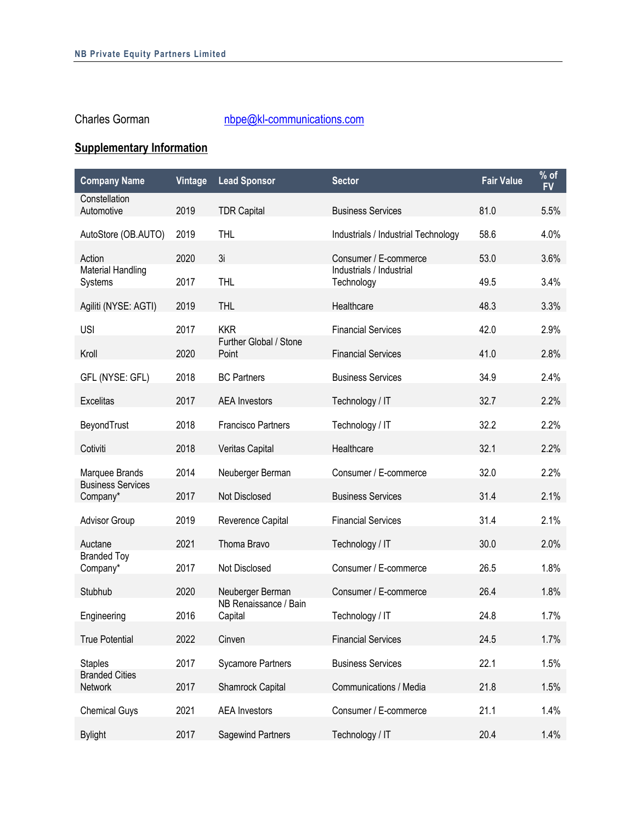# Charles Gorman nbpe@kl-communications.com

# **Supplementary Information**

| <b>Company Name</b>                  | Vintage | <b>Lead Sponsor</b>              | <b>Sector</b>                          | <b>Fair Value</b> | $%$ of<br><b>FV</b> |
|--------------------------------------|---------|----------------------------------|----------------------------------------|-------------------|---------------------|
| Constellation                        |         |                                  |                                        |                   |                     |
| Automotive                           | 2019    | <b>TDR Capital</b>               | <b>Business Services</b>               | 81.0              | 5.5%                |
| AutoStore (OB.AUTO)                  | 2019    | <b>THL</b>                       | Industrials / Industrial Technology    | 58.6              | 4.0%                |
| Action                               | 2020    | 3i                               | Consumer / E-commerce                  | 53.0              | 3.6%                |
| <b>Material Handling</b><br>Systems  | 2017    | <b>THL</b>                       | Industrials / Industrial<br>Technology | 49.5              | 3.4%                |
|                                      |         |                                  |                                        |                   |                     |
| Agiliti (NYSE: AGTI)                 | 2019    | <b>THL</b>                       | Healthcare                             | 48.3              | 3.3%                |
| <b>USI</b>                           | 2017    | <b>KKR</b>                       | <b>Financial Services</b>              | 42.0              | 2.9%                |
| Kroll                                | 2020    | Further Global / Stone<br>Point  | <b>Financial Services</b>              | 41.0              | 2.8%                |
|                                      |         |                                  |                                        |                   |                     |
| GFL (NYSE: GFL)                      | 2018    | <b>BC Partners</b>               | <b>Business Services</b>               | 34.9              | 2.4%                |
| <b>Excelitas</b>                     | 2017    | <b>AEA</b> Investors             | Technology / IT                        | 32.7              | 2.2%                |
| BeyondTrust                          | 2018    | <b>Francisco Partners</b>        | Technology / IT                        | 32.2              | 2.2%                |
| Cotiviti                             | 2018    | Veritas Capital                  | Healthcare                             | 32.1              | 2.2%                |
|                                      |         |                                  |                                        |                   |                     |
| Marquee Brands                       | 2014    | Neuberger Berman                 | Consumer / E-commerce                  | 32.0              | 2.2%                |
| <b>Business Services</b><br>Company* | 2017    | Not Disclosed                    | <b>Business Services</b>               | 31.4              | 2.1%                |
| <b>Advisor Group</b>                 | 2019    | Reverence Capital                | <b>Financial Services</b>              | 31.4              | 2.1%                |
| Auctane                              | 2021    | Thoma Bravo                      | Technology / IT                        | 30.0              | 2.0%                |
| <b>Branded Toy</b>                   |         |                                  |                                        |                   |                     |
| Company*                             | 2017    | Not Disclosed                    | Consumer / E-commerce                  | 26.5              | 1.8%                |
| Stubhub                              | 2020    | Neuberger Berman                 | Consumer / E-commerce                  | 26.4              | 1.8%                |
| Engineering                          | 2016    | NB Renaissance / Bain<br>Capital | Technology / IT                        | 24.8              | 1.7%                |
| True Potential                       | 2022    | Cinven                           | <b>Financial Services</b>              | 24.5              | 1.7%                |
| <b>Staples</b>                       | 2017    | <b>Sycamore Partners</b>         | <b>Business Services</b>               | 22.1              | 1.5%                |
| <b>Branded Cities</b>                |         |                                  |                                        |                   |                     |
| Network                              | 2017    | Shamrock Capital                 | Communications / Media                 | 21.8              | 1.5%                |
| <b>Chemical Guys</b>                 | 2021    | <b>AEA</b> Investors             | Consumer / E-commerce                  | 21.1              | 1.4%                |
| <b>Bylight</b>                       | 2017    | Sagewind Partners                | Technology / IT                        | 20.4              | 1.4%                |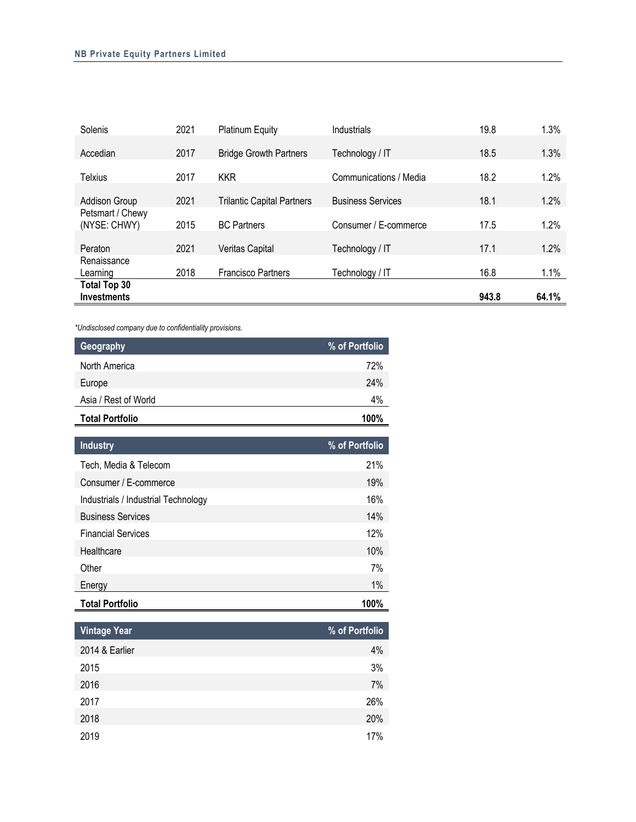| Solenis              | 2021 | <b>Platinum Equity</b>            | Industrials              | 19.8  | 1.3%  |
|----------------------|------|-----------------------------------|--------------------------|-------|-------|
|                      |      |                                   |                          |       |       |
| Accedian             | 2017 | <b>Bridge Growth Partners</b>     | Technology / IT          | 18.5  | 1.3%  |
|                      |      |                                   |                          |       |       |
| Telxius              | 2017 | <b>KKR</b>                        | Communications / Media   | 18.2  | 1.2%  |
|                      |      |                                   |                          |       |       |
| <b>Addison Group</b> | 2021 | <b>Trilantic Capital Partners</b> | <b>Business Services</b> | 18.1  | 1.2%  |
| Petsmart / Chewy     |      |                                   |                          |       |       |
| (NYSE: CHWY)         | 2015 | <b>BC Partners</b>                | Consumer / E-commerce    | 17.5  | 1.2%  |
|                      |      |                                   |                          |       |       |
| Peraton              | 2021 | <b>Veritas Capital</b>            | Technology / IT          | 17.1  | 1.2%  |
| Renaissance          |      |                                   |                          |       |       |
| Learning             | 2018 | <b>Francisco Partners</b>         | Technology / IT          | 16.8  | 1.1%  |
| <b>Total Top 30</b>  |      |                                   |                          |       |       |
| <b>Investments</b>   |      |                                   |                          | 943.8 | 64.1% |

*\*Undisclosed company due to confidentiality provisions.* 

| Geography                           | % of Portfolio |
|-------------------------------------|----------------|
| North America                       | 72%            |
| Europe                              | 24%            |
| Asia / Rest of World                | 4%             |
| <b>Total Portfolio</b>              | 100%           |
| <b>Industry</b>                     | % of Portfolio |
| Tech, Media & Telecom               | 21%            |
| Consumer / E-commerce               | 19%            |
| Industrials / Industrial Technology | 16%            |
| <b>Business Services</b>            | 14%            |
| <b>Financial Services</b>           | 12%            |
| Healthcare                          | 10%            |
| Other                               | 7%             |
| Energy                              | 1%             |
| <b>Total Portfolio</b>              | 100%           |

| <b>Vintage Year</b> | % of Portfolio |
|---------------------|----------------|
| 2014 & Earlier      | 4%             |
| 2015                | 3%             |
| 2016                | 7%             |
| 2017                | 26%            |
| 2018                | 20%            |
| 2019                | 17%            |